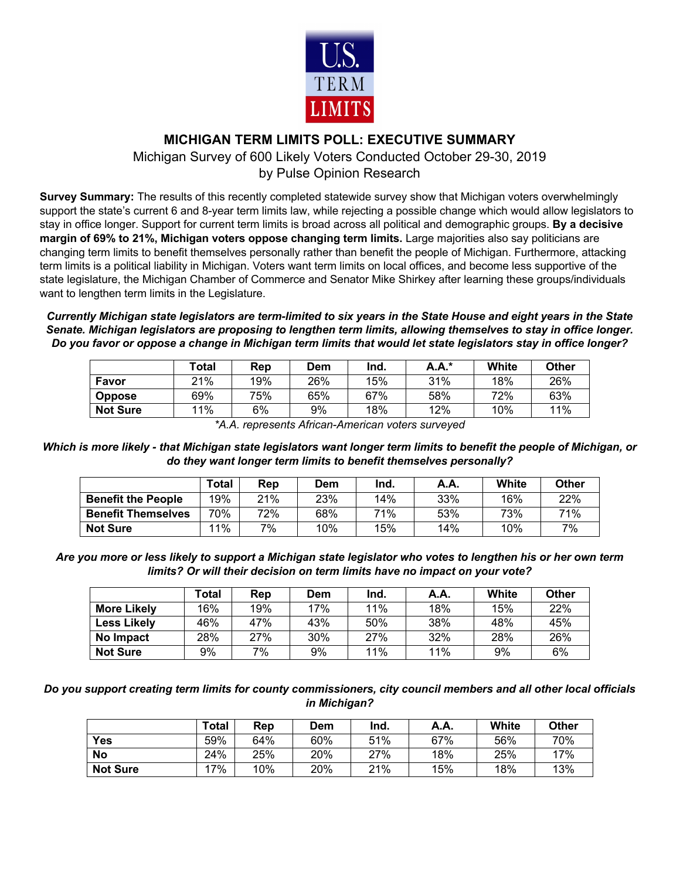

## **MICHIGAN TERM LIMITS POLL: EXECUTIVE SUMMARY**

Michigan Survey of 600 Likely Voters Conducted October 29-30, 2019 by Pulse Opinion Research

**Survey Summary:** The results of this recently completed statewide survey show that Michigan voters overwhelmingly support the state's current 6 and 8-year term limits law, while rejecting a possible change which would allow legislators to stay in office longer. Support for current term limits is broad across all political and demographic groups. **By a decisive margin of 69% to 21%, Michigan voters oppose changing term limits.** Large majorities also say politicians are changing term limits to benefit themselves personally rather than benefit the people of Michigan. Furthermore, attacking term limits is a political liability in Michigan. Voters want term limits on local offices, and become less supportive of the state legislature, the Michigan Chamber of Commerce and Senator Mike Shirkey after learning these groups/individuals want to lengthen term limits in the Legislature.

*Currently Michigan state legislators are term-limited to six years in the State House and eight years in the State Senate. Michigan legislators are proposing to lengthen term limits, allowing themselves to stay in office longer. Do you favor or oppose a change in Michigan term limits that would let state legislators stay in office longer?*

|                 | Total | Rep | Dem | Ind. | <b>A.A.</b> * | White | Other |
|-----------------|-------|-----|-----|------|---------------|-------|-------|
| Favor           | 21%   | 19% | 26% | 15%  | 31%           | 18%   | 26%   |
| <b>Oppose</b>   | 69%   | 75% | 65% | 67%  | 58%           | 72%   | 63%   |
| <b>Not Sure</b> | $1\%$ | 6%  | 9%  | 18%  | 12%           | 10%   | 11%   |

*\*A.A. represents African-American voters surveyed*

*Which is more likely - that Michigan state legislators want longer term limits to benefit the people of Michigan, or do they want longer term limits to benefit themselves personally?*

|                           | Total | Rep | Dem | Ind. | A.A. | White | Other |
|---------------------------|-------|-----|-----|------|------|-------|-------|
| <b>Benefit the People</b> | 19%   | 21% | 23% | 14%  | 33%  | 16%   | 22%   |
| <b>Benefit Themselves</b> | 70%   | 72% | 68% | 71%  | 53%  | 73%   | 71%   |
| <b>Not Sure</b>           | $1\%$ | 7%  | 10% | 15%  | 14%  | 10%   | 7%    |

*Are you more or less likely to support a Michigan state legislator who votes to lengthen his or her own term limits? Or will their decision on term limits have no impact on your vote?*

|                    | ⊺otal | Rep | Dem | Ind. | A.A. | White | Other |
|--------------------|-------|-----|-----|------|------|-------|-------|
| <b>More Likely</b> | 16%   | 19% | 17% | 11%  | 18%  | 15%   | 22%   |
| <b>Less Likely</b> | 46%   | 47% | 43% | 50%  | 38%  | 48%   | 45%   |
| No Impact          | 28%   | 27% | 30% | 27%  | 32%  | 28%   | 26%   |
| <b>Not Sure</b>    | 9%    | 7%  | 9%  | 11%  | 11%  | 9%    | 6%    |

*Do you support creating term limits for county commissioners, city council members and all other local officials in Michigan?*

|                 | <b>Total</b> | Rep | Dem | Ind. | A.A. | White | <b>Other</b> |
|-----------------|--------------|-----|-----|------|------|-------|--------------|
| Yes             | 59%          | 64% | 60% | 51%  | 67%  | 56%   | 70%          |
| <b>No</b>       | 24%          | 25% | 20% | 27%  | 18%  | 25%   | 17%          |
| <b>Not Sure</b> | $7\%$        | 10% | 20% | 21%  | 15%  | 18%   | 13%          |